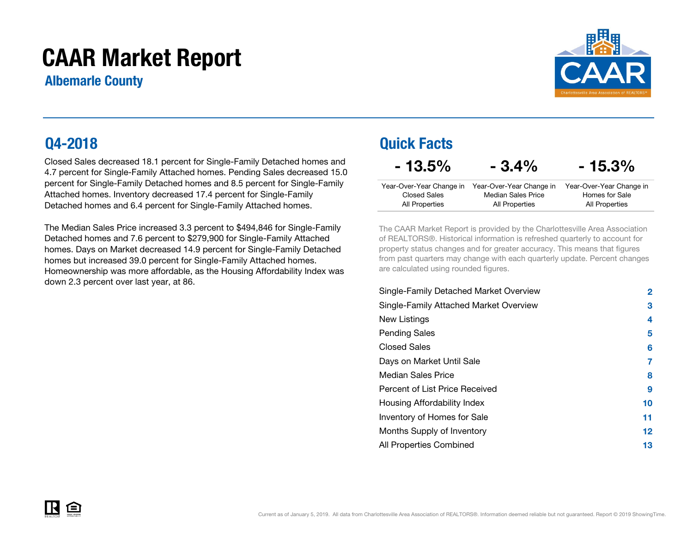# CAAR Market Report

Albemarle County



Closed Sales decreased 18.1 percent for Single-Family Detached homes and 4.7 percent for Single-Family Attached homes. Pending Sales decreased 15.0 percent for Single-Family Detached homes and 8.5 percent for Single-Family Attached homes. Inventory decreased 17.4 percent for Single-Family Detached homes and 6.4 percent for Single-Family Attached homes.

The Median Sales Price increased 3.3 percent to \$494,846 for Single-Family Detached homes and 7.6 percent to \$279,900 for Single-Family Attached homes. Days on Market decreased 14.9 percent for Single-Family Detachedhomes but increased 39.0 percent for Single-Family Attached homes. Homeownership was more affordable, as the Housing Affordability Index was down 2.3 percent over last year, at 86.

### Q4-2018 Quick Facts

 $-13.5\% - 3.4\%$ 

| 15.3% |
|-------|
|-------|

| Year-Over-Year Change in | Year-Over-Year Change in | Year-Over-Year Change in |
|--------------------------|--------------------------|--------------------------|
| Closed Sales             | Median Sales Price       | Homes for Sale           |
| All Properties           | All Properties           | All Properties           |

The CAAR Market Report is provided by the Charlottesville Area Association of REALTORS®. Historical information is refreshed quarterly to account for property status changes and for greater accuracy. This means that figures from past quarters may change with each quarterly update. Percent changes are calculated using rounded figures.

| Single-Family Detached Market Overview | 2  |
|----------------------------------------|----|
| Single-Family Attached Market Overview | 3  |
| New Listings                           | 4  |
| <b>Pending Sales</b>                   | 5  |
| <b>Closed Sales</b>                    | 6  |
| Days on Market Until Sale              | 7  |
| Median Sales Price                     | 8  |
| Percent of List Price Received         | 9  |
| Housing Affordability Index            | 10 |
| Inventory of Homes for Sale            | 11 |
| Months Supply of Inventory             | 12 |
| All Properties Combined                | 13 |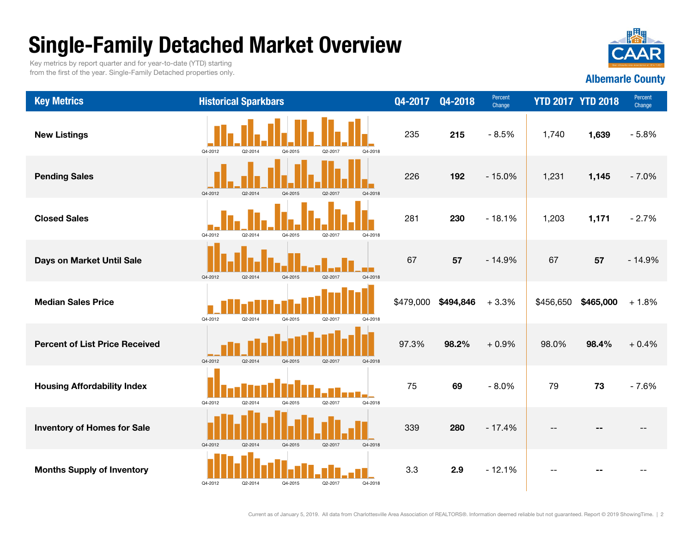# Single-Family Detached Market Overview

Key metrics by report quarter and for year-to-date (YTD) starting from the first of the year. Single-Family Detached properties only.

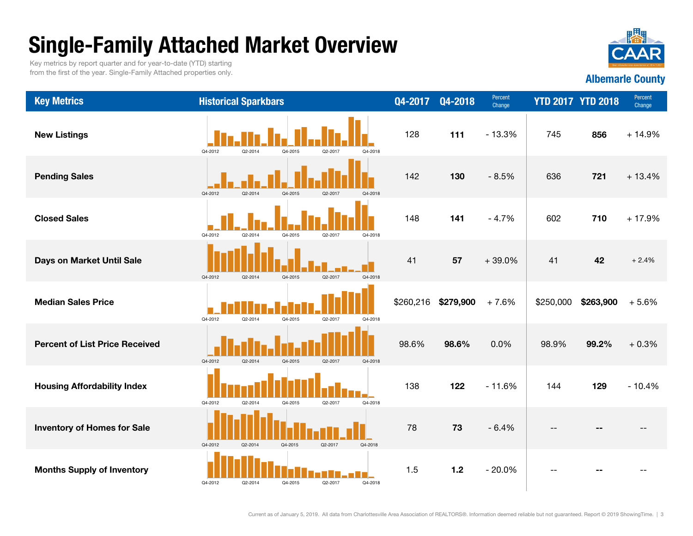# Single-Family Attached Market Overview

Key metrics by report quarter and for year-to-date (YTD) starting from the first of the year. Single-Family Attached properties only.

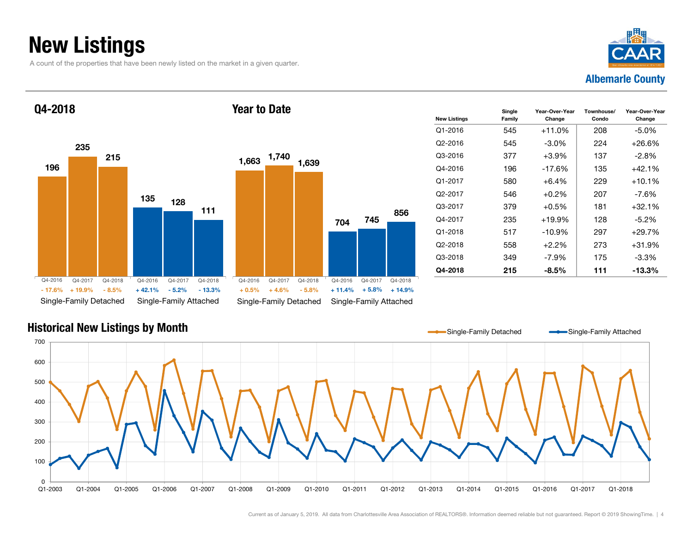### New Listings

A count of the properties that have been newly listed on the market in a given quarter.





| <b>New Listings</b> | Single<br>Family | Year-Over-Year<br>Change | Townhouse/<br>Condo | Year-Over-Year<br>Change |
|---------------------|------------------|--------------------------|---------------------|--------------------------|
| Q1-2016             | 545              | $+11.0%$                 | 208                 | -5.0%                    |
| Q2-2016             | 545              | $-3.0\%$                 | 224                 | +26.6%                   |
| Q3-2016             | 377              | $+3.9\%$                 | 137                 | $-2.8\%$                 |
| Q4-2016             | 196              | -17.6%                   | 135                 | $+42.1%$                 |
| Q1-2017             | 580              | $+6.4\%$                 | 229                 | $+10.1%$                 |
| Q2-2017             | 546              | $+0.2%$                  | 207                 | -7.6%                    |
| Q3-2017             | 379              | $+0.5%$                  | 181                 | $+32.1%$                 |
| Q4-2017             | 235              | $+19.9%$                 | 128                 | $-5.2\%$                 |
| Q1-2018             | 517              | $-10.9%$                 | 297                 | $+29.7%$                 |
| Q2-2018             | 558              | $+2.2\%$                 | 273                 | $+31.9%$                 |
| Q3-2018             | 349              | -7.9%                    | 175                 | -3.3%                    |
| Q4-2018             | 215              | $-8.5\%$                 | 111                 | -13.3%                   |

#### Historical New Listings by Month

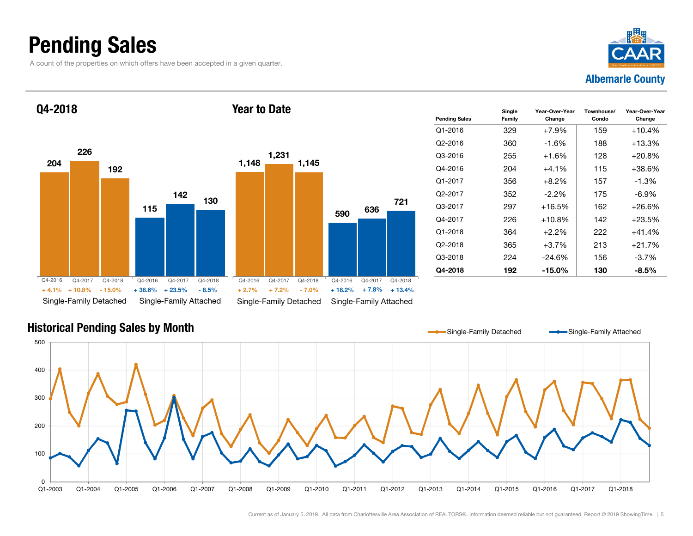### Pending Sales

A count of the properties on which offers have been accepted in a given quarter.



Q4-2018





| <b>Pending Sales</b> | Single<br>Family | Year-Over-Year<br>Change | Townhouse/<br>Condo | Year-Over-Year<br>Change |
|----------------------|------------------|--------------------------|---------------------|--------------------------|
| $Q1 - 2016$          | 329              | $+7.9%$                  | 159                 | $+10.4%$                 |
| Q2-2016              | 360              | $-1.6%$                  | 188                 | $+13.3%$                 |
| Q3-2016              | 255              | $+1.6%$                  | 128                 | $+20.8\%$                |
| Q4-2016              | 204              | $+4.1%$                  | 115                 | +38.6%                   |
| Q1-2017              | 356              | $+8.2\%$                 | 157                 | -1.3%                    |
| Q <sub>2</sub> -2017 | 352              | $-2.2\%$                 | 175                 | $-6.9\%$                 |
| Q3-2017              | 297              | $+16.5%$                 | 162                 | $+26.6%$                 |
| Q4-2017              | 226              | $+10.8%$                 | 142                 | +23.5%                   |
| $Q1 - 2018$          | 364              | $+2.2%$                  | 222                 | +41.4%                   |
| Q2-2018              | 365              | $+3.7\%$                 | 213                 | $+21.7%$                 |
| Q3-2018              | 224              | -24.6%                   | 156                 | $-3.7\%$                 |
| Q4-2018              | 192              | $-15.0\%$                | 130                 | $-8.5\%$                 |

#### Historical Pending Sales by Month

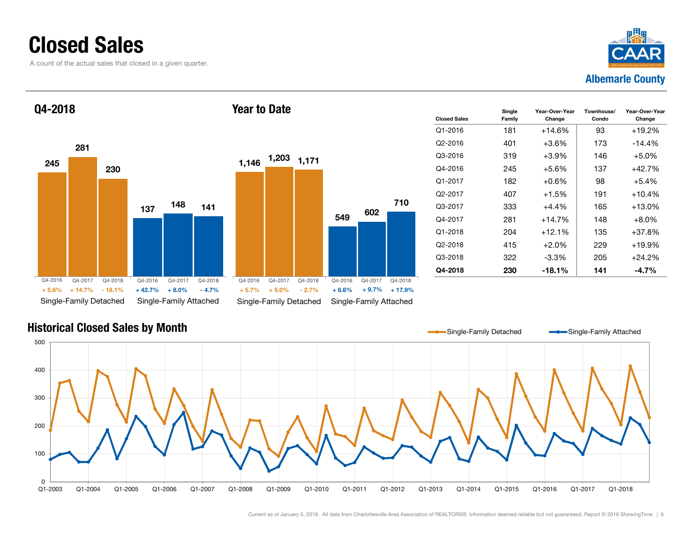### Closed Sales

A count of the actual sales that closed in a given quarter.





| <b>Closed Sales</b> | Single<br>Family | Year-Over-Year<br>Change | Townhouse/<br>Condo | Year-Over-Year<br>Change |
|---------------------|------------------|--------------------------|---------------------|--------------------------|
| Q1-2016             | 181              | $+14.6%$                 | 93                  | $+19.2%$                 |
| Q2-2016             | 401              | $+3.6\%$                 | 173                 | $-14.4%$                 |
| Q3-2016             | 319              | $+3.9\%$                 | 146                 | $+5.0\%$                 |
| Q4-2016             | 245              | $+5.6\%$                 | 137                 | $+42.7%$                 |
| Q1-2017             | 182              | $+0.6%$                  | 98                  | $+5.4%$                  |
| Q2-2017             | 407              | $+1.5%$                  | 191                 | $+10.4%$                 |
| Q3-2017             | 333              | $+4.4%$                  | 165                 | $+13.0%$                 |
| Q4-2017             | 281              | $+14.7%$                 | 148                 | $+8.0%$                  |
| $Q1 - 2018$         | 204              | $+12.1%$                 | 135                 | $+37.8%$                 |
| Q2-2018             | 415              | $+2.0\%$                 | 229                 | $+19.9%$                 |
| Q3-2018             | 322              | $-3.3\%$                 | 205                 | $+24.2%$                 |
| Q4-2018             | 230              | -18.1%                   | 141                 | -4.7%                    |

#### Historical Closed Sales by Month

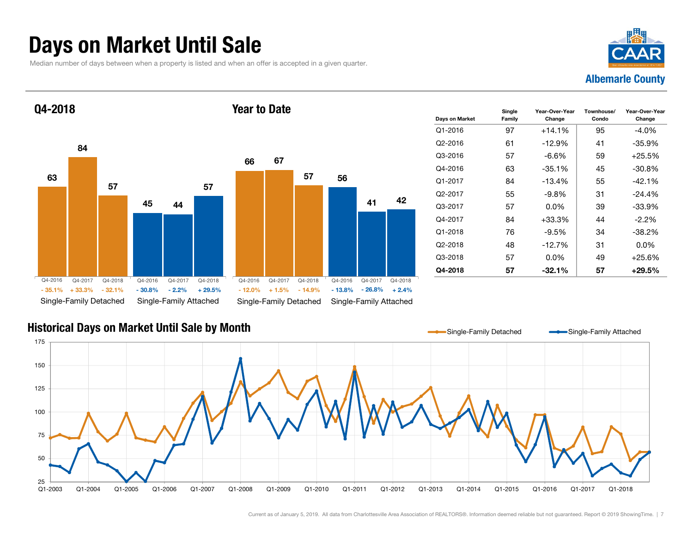### Days on Market Until Sale

Median number of days between when a property is listed and when an offer is accepted in a given quarter.



#### 6345844457 57Single-Family Detached Single-Family Attached Q4-2018 665667415742Single-Family Detached Single-Family Attached Year to DateQ4-2016 Q4-2017 Q4-2018+ 33.3% - 32.1%- 35.1% - 30.8% - 12.0% - 13.8% $-30.8\%$   $-2.2\%$   $+29.5\%$   $-12.0\%$   $+1.5\%$   $-14.9\%$   $-13.8\%$   $-26.8\%$   $+2.4\%$ Q4-2016 Q4-2017 Q4-2018 Q4-2016Q4-2017 Q4-2018 Q4-2016 Q4-2017 Q4-2018

| Days on Market       | Single<br>Family | Year-Over-Year<br>Change | Townhouse/<br>Condo | Year-Over-Year<br>Change |
|----------------------|------------------|--------------------------|---------------------|--------------------------|
| Q1-2016              | 97               | $+14.1%$                 | 95                  | $-4.0\%$                 |
| Q2-2016              | 61               | $-12.9%$                 | 41                  | $-35.9%$                 |
| Q3-2016              | 57               | $-6.6\%$                 | 59                  | $+25.5%$                 |
| Q4-2016              | 63               | $-35.1\%$                | 45                  | $-30.8\%$                |
| Q1-2017              | 84               | $-13.4%$                 | 55                  | $-42.1%$                 |
| Q <sub>2</sub> -2017 | 55               | -9.8%                    | 31                  | -24.4%                   |
| Q3-2017              | 57               | $0.0\%$                  | 39                  | $-33.9%$                 |
| Q4-2017              | 84               | $+33.3%$                 | 44                  | $-2.2\%$                 |
| Q1-2018              | 76               | $-9.5%$                  | 34                  | $-38.2%$                 |
| Q2-2018              | 48               | $-12.7%$                 | 31                  | $0.0\%$                  |
| Q3-2018              | 57               | 0.0%                     | 49                  | $+25.6%$                 |
| Q4-2018              | 57               | $-32.1%$                 | 57                  | $+29.5%$                 |

#### Historical Days on Market Until Sale by Month

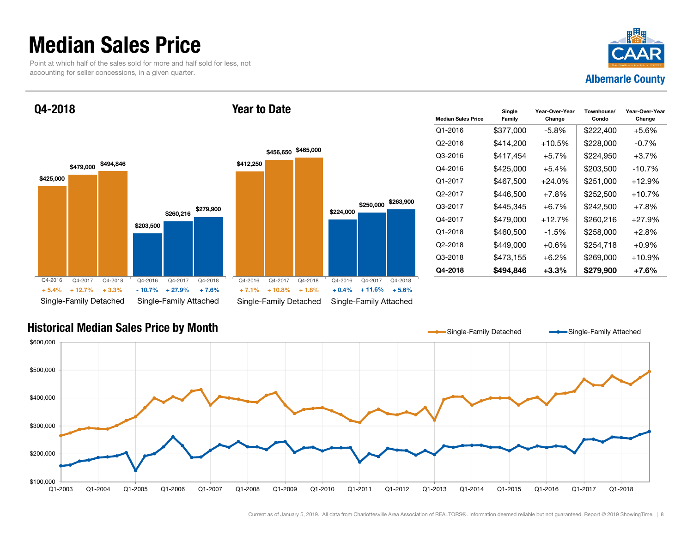### Median Sales Price

Point at which half of the sales sold for more and half sold for less, not accounting for seller concessions, in a given quarter.



Q4-2018





| <b>Median Sales Price</b> | Single<br>Family | Year-Over-Year<br>Change | Townhouse/<br>Condo | Year-Over-Year<br>Change |
|---------------------------|------------------|--------------------------|---------------------|--------------------------|
| Q1-2016                   | \$377,000        | -5.8%                    | \$222,400           | $+5.6\%$                 |
| Q2-2016                   | \$414,200        | $+10.5%$                 | \$228,000           | $-0.7%$                  |
| Q3-2016                   | \$417,454        | $+5.7\%$                 | \$224,950           | $+3.7\%$                 |
| Q4-2016                   | \$425,000        | $+5.4%$                  | \$203,500           | $-10.7%$                 |
| Q1-2017                   | \$467,500        | $+24.0\%$                | \$251,000           | +12.9%                   |
| Q <sub>2</sub> -2017      | \$446,500        | $+7.8%$                  | \$252,500           | +10.7%                   |
| Q3-2017                   | \$445,345        | $+6.7%$                  | \$242,500           | $+7.8\%$                 |
| Q4-2017                   | \$479,000        | $+12.7%$                 | \$260,216           | +27.9%                   |
| $Q1 - 2018$               | \$460.500        | $-1.5\%$                 | \$258,000           | $+2.8%$                  |
| Q2-2018                   | \$449,000        | $+0.6\%$                 | \$254,718           | $+0.9\%$                 |
| Q3-2018                   | \$473,155        | $+6.2\%$                 | \$269,000           | +10.9%                   |
| Q4-2018                   | \$494,846        | $+3.3\%$                 | \$279,900           | +7.6%                    |

#### Historical Median Sales Price by Month

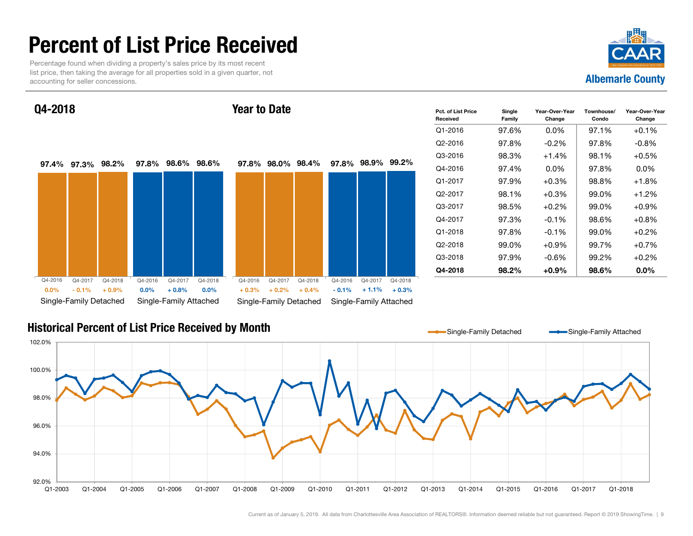### Percent of List Price Received

Percentage found when dividing a property's sales price by its most recent list price, then taking the average for all properties sold in a given quarter, not accounting for seller concessions.



Q4-2018

#### Year to Date



| Pct. of List Price<br>Received | Single<br>Family | Year-Over-Year<br>Change | Townhouse/<br>Condo | Year-Over-Year<br>Change |
|--------------------------------|------------------|--------------------------|---------------------|--------------------------|
| Q1-2016                        | 97.6%            | $0.0\%$                  | 97.1%               | $+0.1%$                  |
| Q2-2016                        | 97.8%            | $-0.2\%$                 | 97.8%               | $-0.8\%$                 |
| Q3-2016                        | 98.3%            | $+1.4%$                  | 98.1%               | $+0.5%$                  |
| Q4-2016                        | 97.4%            | 0.0%                     | 97.8%               | 0.0%                     |
| Q1-2017                        | 97.9%            | $+0.3\%$                 | 98.8%               | $+1.8%$                  |
| Q2-2017                        | 98.1%            | $+0.3\%$                 | 99.0%               | $+1.2\%$                 |
| Q3-2017                        | 98.5%            | $+0.2\%$                 | 99.0%               | $+0.9%$                  |
| Q4-2017                        | 97.3%            | $-0.1%$                  | 98.6%               | $+0.8\%$                 |
| Q1-2018                        | 97.8%            | $-0.1%$                  | 99.0%               | $+0.2%$                  |
| Q2-2018                        | 99.0%            | $+0.9\%$                 | 99.7%               | $+0.7\%$                 |
| Q3-2018                        | 97.9%            | -0.6%                    | 99.2%               | +0.2%                    |
| Q4-2018                        | 98.2%            | +0.9%                    | 98.6%               | $0.0\%$                  |

#### Historical Percent of List Price Received by Month

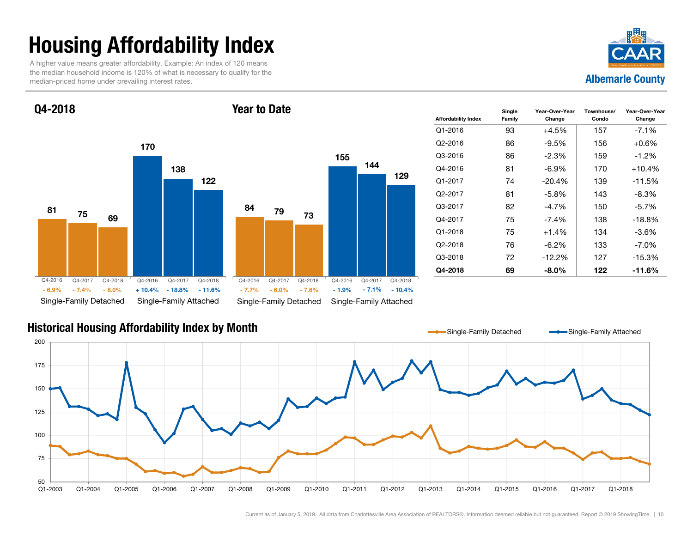# Housing Affordability Index

A higher value means greater affordability. Example: An index of 120 means the median household income is 120% of what is necessary to qualify for the median-priced home under prevailing interest rates.



Q4-2018

#### Year to Date



| <b>Affordability Index</b> | Single<br>Family | Year-Over-Year<br>Change | Townhouse/<br>Condo | Year-Over-Year<br>Change |
|----------------------------|------------------|--------------------------|---------------------|--------------------------|
| Q1-2016                    | 93               | +4.5%                    | 157                 | $-7.1\%$                 |
| Q2-2016                    | 86               | -9.5%                    | 156                 | $+0.6%$                  |
| Q3-2016                    | 86               | $-2.3%$                  | 159                 | -1.2%                    |
| Q4-2016                    | 81               | $-6.9\%$                 | 170                 | $+10.4%$                 |
| Q1-2017                    | 74               | $-20.4%$                 | 139                 | $-11.5%$                 |
| Q2-2017                    | 81               | $-5.8\%$                 | 143                 | -8.3%                    |
| Q3-2017                    | 82               | $-4.7\%$                 | 150                 | $-5.7\%$                 |
| Q4-2017                    | 75               | -7.4%                    | 138                 | $-18.8%$                 |
| Q1-2018                    | 75               | $+1.4%$                  | 134                 | -3.6%                    |
| Q2-2018                    | 76               | $-6.2\%$                 | 133                 | $-7.0\%$                 |
| Q3-2018                    | 72               | $-12.2%$                 | 127                 | $-15.3%$                 |
| Q4-2018                    | 69               | -8.0%                    | 122                 | -11.6%                   |

#### Historical Housing Affordability Index by Month

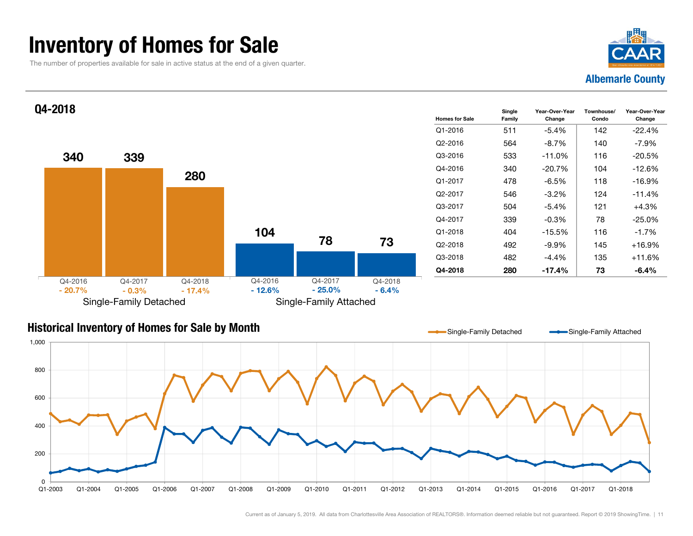### Inventory of Homes for Sale

The number of properties available for sale in active status at the end of a given quarter.





#### Historical Inventory of Homes for Sale by Month



Single-Family Detached Single-Family Attached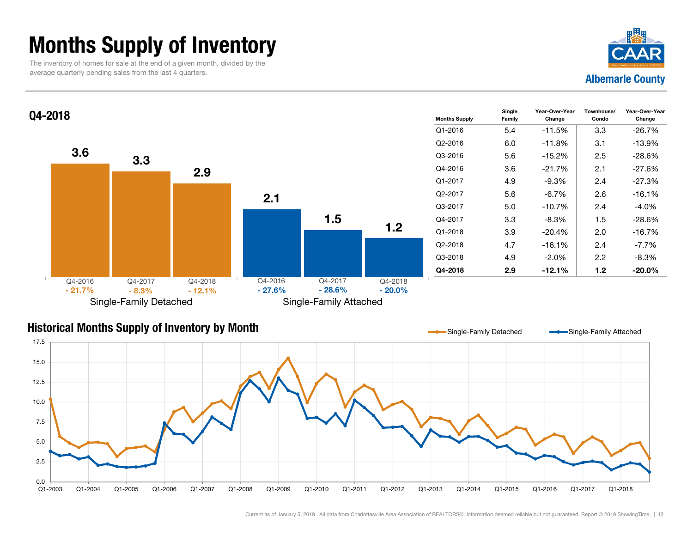### Months Supply of Inventory

The inventory of homes for sale at the end of a given month, divided by the average quarterly pending sales from the last 4 quarters.



Year-Over-YearChange

Townhouse/Condo

Year-Over-Year Change



| <b>Historical Months Supply of Inventory by Month</b> |  |  |  |
|-------------------------------------------------------|--|--|--|
|-------------------------------------------------------|--|--|--|